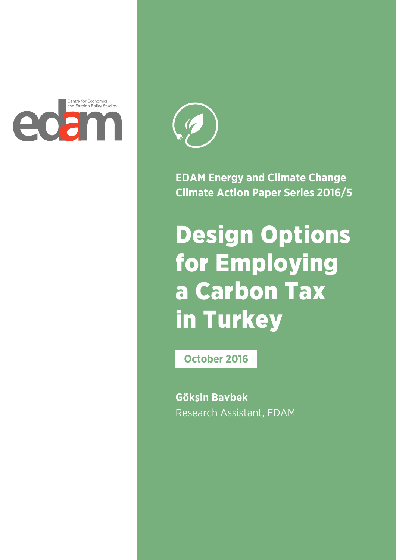



**EDAM Energy and Climate Change Climate Action Paper Series 2016/5**

# Design Options for Employing a Carbon Tax in Turkey

**October 2016**

**Gökşin Bavbek** Research Assistant, EDAM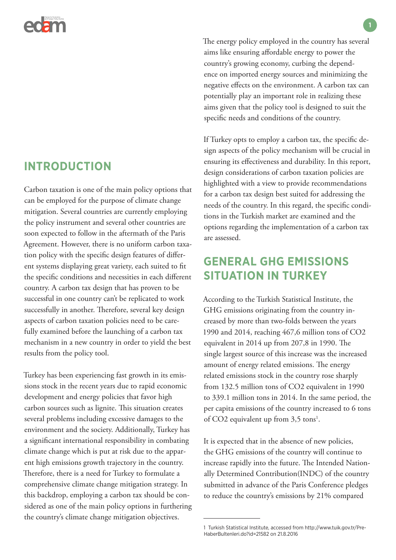

### **INTRODUCTION**

Carbon taxation is one of the main policy options that can be employed for the purpose of climate change mitigation. Several countries are currently employing the policy instrument and several other countries are soon expected to follow in the aftermath of the Paris Agreement. However, there is no uniform carbon taxation policy with the specific design features of different systems displaying great variety, each suited to fit the specific conditions and necessities in each different country. A carbon tax design that has proven to be successful in one country can't be replicated to work successfully in another. Therefore, several key design aspects of carbon taxation policies need to be carefully examined before the launching of a carbon tax mechanism in a new country in order to yield the best results from the policy tool.

Turkey has been experiencing fast growth in its emissions stock in the recent years due to rapid economic development and energy policies that favor high carbon sources such as lignite. This situation creates several problems including excessive damages to the environment and the society. Additionally, Turkey has a significant international responsibility in combating climate change which is put at risk due to the apparent high emissions growth trajectory in the country. Therefore, there is a need for Turkey to formulate a comprehensive climate change mitigation strategy. In this backdrop, employing a carbon tax should be considered as one of the main policy options in furthering the country's climate change mitigation objectives.

The energy policy employed in the country has several aims like ensuring affordable energy to power the country's growing economy, curbing the dependence on imported energy sources and minimizing the negative effects on the environment. A carbon tax can potentially play an important role in realizing these aims given that the policy tool is designed to suit the specific needs and conditions of the country.

If Turkey opts to employ a carbon tax, the specific design aspects of the policy mechanism will be crucial in ensuring its effectiveness and durability. In this report, design considerations of carbon taxation policies are highlighted with a view to provide recommendations for a carbon tax design best suited for addressing the needs of the country. In this regard, the specific conditions in the Turkish market are examined and the options regarding the implementation of a carbon tax are assessed.

# **GENERAL GHG EMISSIONS SITUATION IN TURKEY**

According to the Turkish Statistical Institute, the GHG emissions originating from the country increased by more than two-folds between the years 1990 and 2014, reaching 467,6 million tons of CO2 equivalent in 2014 up from 207,8 in 1990. The single largest source of this increase was the increased amount of energy related emissions. The energy related emissions stock in the country rose sharply from 132.5 million tons of CO2 equivalent in 1990 to 339.1 million tons in 2014. In the same period, the per capita emissions of the country increased to 6 tons of CO2 equivalent up from 3,5 tons<sup>1</sup>.

It is expected that in the absence of new policies, the GHG emissions of the country will continue to increase rapidly into the future. The Intended Nationally Determined Contribution(INDC) of the country submitted in advance of the Paris Conference pledges to reduce the country's emissions by 21% compared

<sup>1</sup> Turkish Statistical Institute, accessed from http://www.tuik.gov.tr/Pre-HaberBultenleri.do?id=21582 on 21.8.2016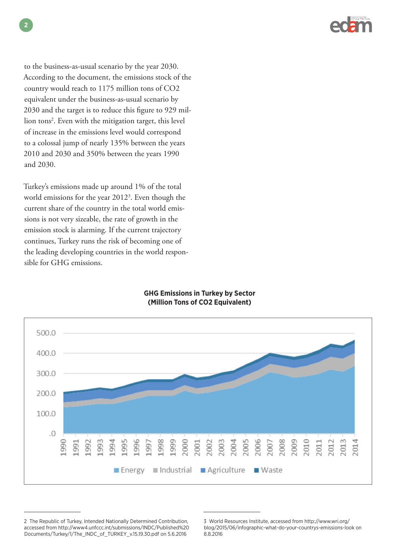

to the business-as-usual scenario by the year 2030. According to the document, the emissions stock of the country would reach to 1175 million tons of CO2 equivalent under the business-as-usual scenario by 2030 and the target is to reduce this figure to 929 million tons2 . Even with the mitigation target, this level of increase in the emissions level would correspond to a colossal jump of nearly 135% between the years 2010 and 2030 and 350% between the years 1990 and 2030.

Turkey's emissions made up around 1% of the total world emissions for the year 2012<sup>3</sup>. Even though the current share of the country in the total world emissions is not very sizeable, the rate of growth in the emission stock is alarming. If the current trajectory continues, Turkey runs the risk of becoming one of the leading developing countries in the world responsible for GHG emissions.

### **GHG Emissions in Turkey by Sector (Million Tons of CO2 Equivalent)**



<sup>2</sup> The Republic of Turkey, Intended Nationally Determined Contribution, accessed from http://www4.unfccc.int/submissions/INDC/Published%20 Documents/Turkey/1/The\_INDC\_of\_TURKEY\_v.15.19.30.pdf on 5.6.2016

<sup>3</sup> World Resources Institute, accessed from http://www.wri.org/ blog/2015/06/infographic-what-do-your-countrys-emissions-look on 8.8.2016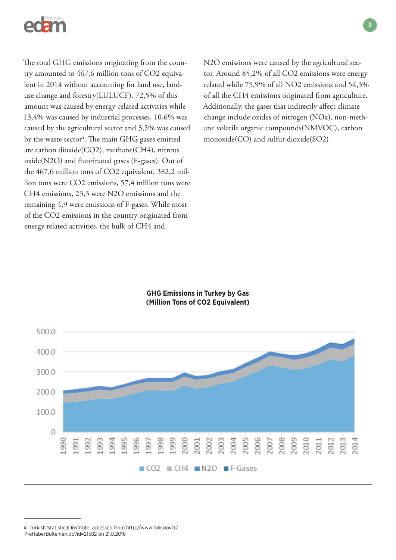

The total GHG emissions originating from the country amounted to 467,6 million tons of CO2 equivalent in 2014 without accounting for land use, landuse change and forestry(LULUCF). 72,5% of this amount was caused by energy-related activities while 13,4% was caused by industrial processes, 10,6% was caused by the agricultural sector and 3,5% was caused by the waste sector<sup>4</sup>. The main GHG gases emitted are carbon dioxide(CO2), methane(CH4), nitrous oxide(N2O) and fluorinated gases (F-gases). Out of the 467,6 million tons of CO2 equivalent, 382,2 million tons were CO2 emissions, 57,4 million tons were CH4 emissions, 23,3 were N2O emissions and the remaining 4,9 were emissions of F-gases. While most of the CO2 emissions in the country originated from energy related activities, the bulk of CH4 and



### **GHG Emissions in Turkey by Gas (Million Tons of CO2 Equivalent)**



**3**

<sup>4</sup> Turkish Statistical Institute, accessed from http://www.tuik.gov.tr/ PreHaberBultenleri.do?id=21582 on 21.8.2016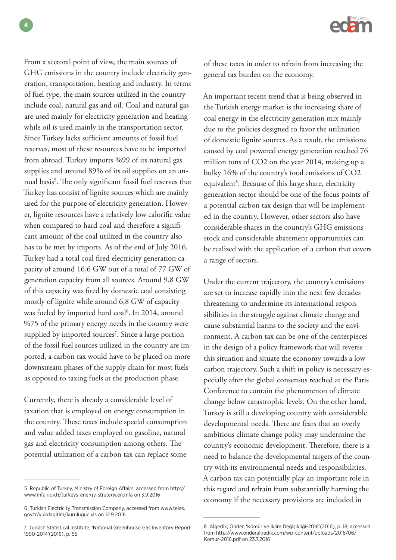From a sectoral point of view, the main sources of GHG emissions in the country include electricity generation, transportation, heating and industry. In terms of fuel type, the main sources utilized in the country include coal, natural gas and oil. Coal and natural gas are used mainly for electricity generation and heating while oil is used mainly in the transportation sector. Since Turkey lacks sufficient amounts of fossil fuel reserves, most of these resources have to be imported from abroad. Turkey imports %99 of its natural gas supplies and around 89% of its oil supplies on an annual basis<sup>5</sup>. The only significant fossil fuel reserves that Turkey has consist of lignite sources which are mainly used for the purpose of electricity generation. However, lignite resources have a relatively low calorific value when compared to hard coal and therefore a significant amount of the coal utilized in the country also has to be met by imports. As of the end of July 2016, Turkey had a total coal fired electricity generation capacity of around 16,6 GW out of a total of 77 GW of generation capacity from all sources. Around 9,8 GW of this capacity was fired by domestic coal consisting mostly of lignite while around 6,8 GW of capacity was fueled by imported hard coal<sup>6</sup>. In 2014, around %75 of the primary energy needs in the country were supplied by imported sources<sup>7</sup>. Since a large portion of the fossil fuel sources utilized in the country are imported, a carbon tax would have to be placed on more downstream phases of the supply chain for most fuels as opposed to taxing fuels at the production phase.

Currently, there is already a considerable level of taxation that is employed on energy consumption in the country. These taxes include special consumption and value added taxes employed on gasoline, natural gas and electricity consumption among others. The potential utilization of a carbon tax can replace some

5 Republic of Turkey, Ministry of Foreign Affairs, accessed from http:// www.mfa.gov.tr/turkeys-energy-strategy.en.mfa on 3.9.2016

of these taxes in order to refrain from increasing the general tax burden on the economy.

An important recent trend that is being observed in the Turkish energy market is the increasing share of coal energy in the electricity generation mix mainly due to the policies designed to favor the utilization of domestic lignite sources. As a result, the emissions caused by coal powered energy generation reached 76 million tons of CO2 on the year 2014, making up a bulky 16% of the country's total emissions of CO2 equivalent<sup>8</sup>. Because of this large share, electricity generation sector should be one of the focus points of a potential carbon tax design that will be implemented in the country. However, other sectors also have considerable shares in the country's GHG emissions stock and considerable abatement opportunities can be realized with the application of a carbon that covers a range of sectors.

Under the current trajectory, the country's emissions are set to increase rapidly into the next few decades threatening to undermine its international responsibilities in the struggle against climate change and cause substantial harms to the society and the environment. A carbon tax can be one of the centerpieces in the design of a policy framework that will reverse this situation and situate the economy towards a low carbon trajectory. Such a shift in policy is necessary especially after the global consensus reached at the Paris Conference to contain the phenomenon of climate change below catastrophic levels. On the other hand, Turkey is still a developing country with considerable developmental needs. There are fears that an overly ambitious climate change policy may undermine the country's economic development. Therefore, there is a need to balance the developmental targets of the country with its environmental needs and responsibilities. A carbon tax can potentially play an important role in this regard and refrain from substantially harming the economy if the necessary provisions are included in

<sup>6</sup> Turkish Electricity Transmission Company, accessed from www.teias. gov.tr/yukdagitim/kuruluguc.xls on 12.9.2016

<sup>7</sup> Turkish Statistical Institute, 'National Greenhouse Gas Inventory Report 1990-2014'(2016), p. 55

<sup>8</sup> Algedik, Önder, 'Kömür ve İklim Değişikliği-2016'(2016), p. 18, accessed from http://www.onderalgedik.com/wp-content/uploads/2016/06/ Komur-2016.pdf on 23.7.2016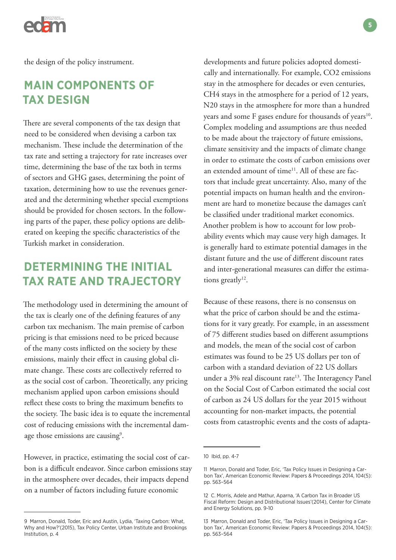

the design of the policy instrument.

### **MAIN COMPONENTS OF TAX DESIGN**

There are several components of the tax design that need to be considered when devising a carbon tax mechanism. These include the determination of the tax rate and setting a trajectory for rate increases over time, determining the base of the tax both in terms of sectors and GHG gases, determining the point of taxation, determining how to use the revenues generated and the determining whether special exemptions should be provided for chosen sectors. In the following parts of the paper, these policy options are deliberated on keeping the specific characteristics of the Turkish market in consideration.

# **DETERMINING THE INITIAL TAX RATE AND TRAJECTORY**

The methodology used in determining the amount of the tax is clearly one of the defining features of any carbon tax mechanism. The main premise of carbon pricing is that emissions need to be priced because of the many costs inflicted on the society by these emissions, mainly their effect in causing global climate change. These costs are collectively referred to as the social cost of carbon. Theoretically, any pricing mechanism applied upon carbon emissions should reflect these costs to bring the maximum benefits to the society. The basic idea is to equate the incremental cost of reducing emissions with the incremental damage those emissions are causing<sup>9</sup>.

However, in practice, estimating the social cost of carbon is a difficult endeavor. Since carbon emissions stay in the atmosphere over decades, their impacts depend on a number of factors including future economic

developments and future policies adopted domestically and internationally. For example, CO2 emissions stay in the atmosphere for decades or even centuries, CH4 stays in the atmosphere for a period of 12 years, N20 stays in the atmosphere for more than a hundred years and some F gases endure for thousands of years<sup>10</sup>. Complex modeling and assumptions are thus needed to be made about the trajectory of future emissions, climate sensitivity and the impacts of climate change in order to estimate the costs of carbon emissions over an extended amount of time<sup>11</sup>. All of these are factors that include great uncertainty. Also, many of the potential impacts on human health and the environment are hard to monetize because the damages can't be classified under traditional market economics. Another problem is how to account for low probability events which may cause very high damages. It is generally hard to estimate potential damages in the distant future and the use of different discount rates and inter-generational measures can differ the estimations greatly $12$ .

Because of these reasons, there is no consensus on what the price of carbon should be and the estimations for it vary greatly. For example, in an assessment of 75 different studies based on different assumptions and models, the mean of the social cost of carbon estimates was found to be 25 US dollars per ton of carbon with a standard deviation of 22 US dollars under a 3% real discount rate<sup>13</sup>. The Interagency Panel on the Social Cost of Carbon estimated the social cost of carbon as 24 US dollars for the year 2015 without accounting for non-market impacts, the potential costs from catastrophic events and the costs of adapta-

<sup>9</sup> Marron, Donald, Toder, Eric and Austin, Lydia, 'Taxing Carbon: What, Why and How?'(2015), Tax Policy Center, Urban Institute and Brookings Institution, p. 4

<sup>10</sup> Ibid, pp. 4-7

<sup>11</sup> Marron, Donald and Toder, Eric, 'Tax Policy Issues in Designing a Carbon Tax', American Economic Review: Papers & Proceedings 2014, 104(5): pp. 563–564

<sup>12</sup> C. Morris, Adele and Mathur, Aparna, 'A Carbon Tax in Broader US Fiscal Reform: Design and Distributional Issues'(2014), Center for Climate and Energy Solutions, pp. 9-10

<sup>13</sup> Marron, Donald and Toder, Eric, 'Tax Policy Issues in Designing a Carbon Tax', American Economic Review: Papers & Proceedings 2014, 104(5): pp. 563–564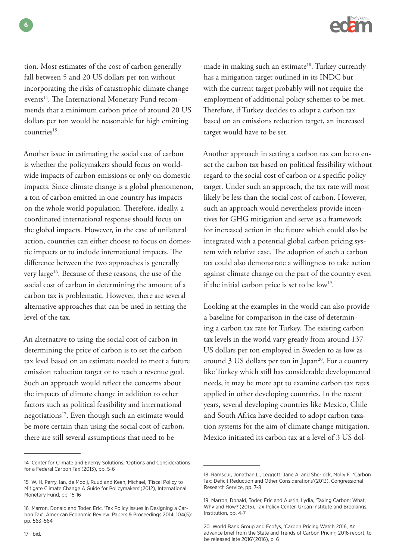

tion. Most estimates of the cost of carbon generally fall between 5 and 20 US dollars per ton without incorporating the risks of catastrophic climate change events<sup>14</sup>. The International Monetary Fund recommends that a minimum carbon price of around 20 US dollars per ton would be reasonable for high emitting countries<sup>15</sup>.

Another issue in estimating the social cost of carbon is whether the policymakers should focus on worldwide impacts of carbon emissions or only on domestic impacts. Since climate change is a global phenomenon, a ton of carbon emitted in one country has impacts on the whole world population. Therefore, ideally, a coordinated international response should focus on the global impacts. However, in the case of unilateral action, countries can either choose to focus on domestic impacts or to include international impacts. The difference between the two approaches is generally very large<sup>16</sup>. Because of these reasons, the use of the social cost of carbon in determining the amount of a carbon tax is problematic. However, there are several alternative approaches that can be used in setting the level of the tax.

An alternative to using the social cost of carbon in determining the price of carbon is to set the carbon tax level based on an estimate needed to meet a future emission reduction target or to reach a revenue goal. Such an approach would reflect the concerns about the impacts of climate change in addition to other factors such as political feasibility and international negotiations<sup>17</sup>. Even though such an estimate would be more certain than using the social cost of carbon, there are still several assumptions that need to be

made in making such an estimate<sup>18</sup>. Turkey currently has a mitigation target outlined in its INDC but with the current target probably will not require the employment of additional policy schemes to be met. Therefore, if Turkey decides to adopt a carbon tax based on an emissions reduction target, an increased target would have to be set.

Another approach in setting a carbon tax can be to enact the carbon tax based on political feasibility without regard to the social cost of carbon or a specific policy target. Under such an approach, the tax rate will most likely be less than the social cost of carbon. However, such an approach would nevertheless provide incentives for GHG mitigation and serve as a framework for increased action in the future which could also be integrated with a potential global carbon pricing system with relative ease. The adoption of such a carbon tax could also demonstrate a willingness to take action against climate change on the part of the country even if the initial carbon price is set to be low<sup>19</sup>.

Looking at the examples in the world can also provide a baseline for comparison in the case of determining a carbon tax rate for Turkey. The existing carbon tax levels in the world vary greatly from around 137 US dollars per ton employed in Sweden to as low as around  $3$  US dollars per ton in Japan<sup>20</sup>. For a country like Turkey which still has considerable developmental needs, it may be more apt to examine carbon tax rates applied in other developing countries. In the recent years, several developing countries like Mexico, Chile and South Africa have decided to adopt carbon taxation systems for the aim of climate change mitigation. Mexico initiated its carbon tax at a level of 3 US dol-

**6**

<sup>14</sup> Center for Climate and Energy Solutions, 'Options and Considerations for a Federal Carbon Tax'(2013), pp. 5-6

<sup>15</sup> W. H. Parry, Ian, de Mooij, Ruud and Keen, Michael, 'Fiscal Policy to Mitigate Climate Change A Guide for Policymakers'(2012), International Monetary Fund, pp. 15-16

<sup>16</sup> Marron, Donald and Toder, Eric, 'Tax Policy Issues in Designing a Carbon Tax', American Economic Review: Papers & Proceedings 2014, 104(5): pp. 563–564

<sup>18</sup> Ramseur, Jonathan L., Leggett, Jane A. and Sherlock, Molly F., 'Carbon Tax: Deficit Reduction and Other Considerations'(2013), Congressional Research Service, pp. 7-8

<sup>19</sup> Marron, Donald, Toder, Eric and Austin, Lydia, 'Taxing Carbon: What, Why and How?'(2015), Tax Policy Center, Urban Institute and Brookings Institution, pp. 4-7

<sup>20</sup> World Bank Group and Ecofys, 'Carbon Pricing Watch 2016, An advance brief from the State and Trends of Carbon Pricing 2016 report, to be released late 2016'(2016), p. 6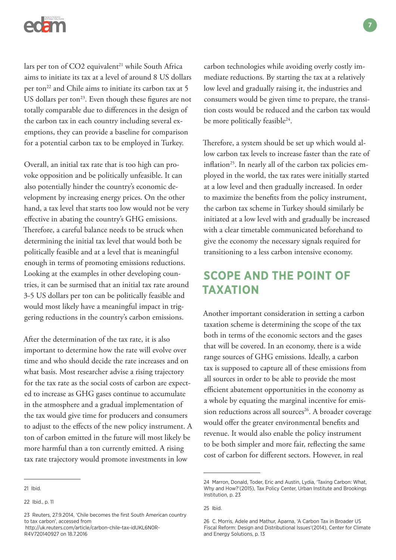

lars per ton of  $CO2$  equivalent<sup>21</sup> while South Africa aims to initiate its tax at a level of around 8 US dollars per ton<sup>22</sup> and Chile aims to initiate its carbon tax at 5 US dollars per ton $^{23}$ . Even though these figures are not totally comparable due to differences in the design of the carbon tax in each country including several exemptions, they can provide a baseline for comparison for a potential carbon tax to be employed in Turkey.

Overall, an initial tax rate that is too high can provoke opposition and be politically unfeasible. It can also potentially hinder the country's economic development by increasing energy prices. On the other hand, a tax level that starts too low would not be very effective in abating the country's GHG emissions. Therefore, a careful balance needs to be struck when determining the initial tax level that would both be politically feasible and at a level that is meaningful enough in terms of promoting emissions reductions. Looking at the examples in other developing countries, it can be surmised that an initial tax rate around 3-5 US dollars per ton can be politically feasible and would most likely have a meaningful impact in triggering reductions in the country's carbon emissions.

After the determination of the tax rate, it is also important to determine how the rate will evolve over time and who should decide the rate increases and on what basis. Most researcher advise a rising trajectory for the tax rate as the social costs of carbon are expected to increase as GHG gases continue to accumulate in the atmosphere and a gradual implementation of the tax would give time for producers and consumers to adjust to the effects of the new policy instrument. A ton of carbon emitted in the future will most likely be more harmful than a ton currently emitted. A rising tax rate trajectory would promote investments in low

 http://uk.reuters.com/article/carbon-chile-tax-idUKL6N0R-R4V720140927 on 18.7.2016

carbon technologies while avoiding overly costly immediate reductions. By starting the tax at a relatively low level and gradually raising it, the industries and consumers would be given time to prepare, the transition costs would be reduced and the carbon tax would be more politically feasible<sup>24</sup>.

Therefore, a system should be set up which would allow carbon tax levels to increase faster than the rate of inflation<sup>25</sup>. In nearly all of the carbon tax policies employed in the world, the tax rates were initially started at a low level and then gradually increased. In order to maximize the benefits from the policy instrument, the carbon tax scheme in Turkey should similarly be initiated at a low level with and gradually be increased with a clear timetable communicated beforehand to give the economy the necessary signals required for transitioning to a less carbon intensive economy.

# **SCOPE AND THE POINT OF TAXATION**

Another important consideration in setting a carbon taxation scheme is determining the scope of the tax both in terms of the economic sectors and the gases that will be covered. In an economy, there is a wide range sources of GHG emissions. Ideally, a carbon tax is supposed to capture all of these emissions from all sources in order to be able to provide the most efficient abatement opportunities in the economy as a whole by equating the marginal incentive for emission reductions across all sources<sup>26</sup>. A broader coverage would offer the greater environmental benefits and revenue. It would also enable the policy instrument to be both simpler and more fair, reflecting the same cost of carbon for different sectors. However, in real

<sup>21</sup> Ibid.

<sup>22</sup> Ibid., p. 11

<sup>23</sup> Reuters, 27.9.2014, 'Chile becomes the first South American country to tax carbon', accessed from

<sup>24</sup> Marron, Donald, Toder, Eric and Austin, Lydia, 'Taxing Carbon: What, Why and How?'(2015), Tax Policy Center, Urban Institute and Brookings Institution, p. 23

<sup>25</sup> Ibid.

<sup>26</sup> C. Morris, Adele and Mathur, Aparna, 'A Carbon Tax in Broader US Fiscal Reform: Design and Distributional Issues'(2014), Center for Climate and Energy Solutions, p. 13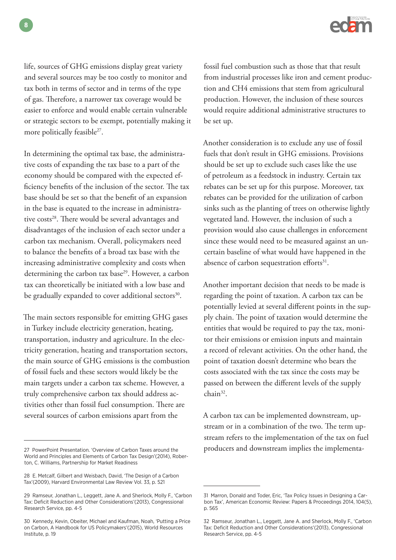

life, sources of GHG emissions display great variety and several sources may be too costly to monitor and tax both in terms of sector and in terms of the type of gas. Therefore, a narrower tax coverage would be easier to enforce and would enable certain vulnerable or strategic sectors to be exempt, potentially making it more politically feasible<sup>27</sup>.

In determining the optimal tax base, the administrative costs of expanding the tax base to a part of the economy should be compared with the expected efficiency benefits of the inclusion of the sector. The tax base should be set so that the benefit of an expansion in the base is equated to the increase in administrative costs<sup>28</sup>. There would be several advantages and disadvantages of the inclusion of each sector under a carbon tax mechanism. Overall, policymakers need to balance the benefits of a broad tax base with the increasing administrative complexity and costs when determining the carbon tax base<sup>29</sup>. However, a carbon tax can theoretically be initiated with a low base and be gradually expanded to cover additional sectors<sup>30</sup>.

The main sectors responsible for emitting GHG gases in Turkey include electricity generation, heating, transportation, industry and agriculture. In the electricity generation, heating and transportation sectors, the main source of GHG emissions is the combustion of fossil fuels and these sectors would likely be the main targets under a carbon tax scheme. However, a truly comprehensive carbon tax should address activities other than fossil fuel consumption. There are several sources of carbon emissions apart from the

fossil fuel combustion such as those that that result from industrial processes like iron and cement production and CH4 emissions that stem from agricultural production. However, the inclusion of these sources would require additional administrative structures to be set up.

Another consideration is to exclude any use of fossil fuels that don't result in GHG emissions. Provisions should be set up to exclude such cases like the use of petroleum as a feedstock in industry. Certain tax rebates can be set up for this purpose. Moreover, tax rebates can be provided for the utilization of carbon sinks such as the planting of trees on otherwise lightly vegetated land. However, the inclusion of such a provision would also cause challenges in enforcement since these would need to be measured against an uncertain baseline of what would have happened in the absence of carbon sequestration efforts<sup>31</sup>.

Another important decision that needs to be made is regarding the point of taxation. A carbon tax can be potentially levied at several different points in the supply chain. The point of taxation would determine the entities that would be required to pay the tax, monitor their emissions or emission inputs and maintain a record of relevant activities. On the other hand, the point of taxation doesn't determine who bears the costs associated with the tax since the costs may be passed on between the different levels of the supply chain<sup>32</sup>.

A carbon tax can be implemented downstream, upstream or in a combination of the two. The term upstream refers to the implementation of the tax on fuel producers and downstream implies the implementa-

**8**

<sup>27</sup> PowerPoint Presentation. 'Overview of Carbon Taxes around the World and Principles and Elements of Carbon Tax Design'(2014), Roberton, C. Williams, Partnership for Market Readiness

<sup>28</sup> E. Metcalf, Gilbert and Weisbach, David, 'The Design of a Carbon Tax'(2009), Harvard Environmental Law Review Vol. 33, p. 521

<sup>29</sup> Ramseur, Jonathan L., Leggett, Jane A. and Sherlock, Molly F., 'Carbon Tax: Deficit Reduction and Other Considerations'(2013), Congressional Research Service, pp. 4-5

<sup>30</sup> Kennedy, Kevin, Obeiter, Michael and Kaufman, Noah, 'Putting a Price on Carbon, A Handbook for US Policymakers'(2015), World Resources Institute, p. 19

<sup>31</sup> Marron, Donald and Toder, Eric, 'Tax Policy Issues in Designing a Carbon Tax', American Economic Review: Papers & Proceedings 2014, 104(5), p. 565

<sup>32</sup> Ramseur, Jonathan L., Leggett, Jane A. and Sherlock, Molly F., 'Carbon Tax: Deficit Reduction and Other Considerations'(2013), Congressional Research Service, pp. 4-5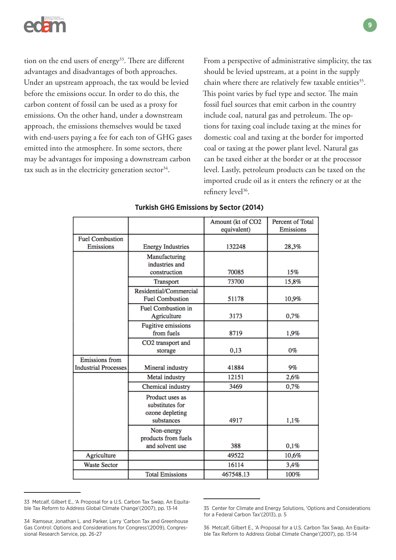

tion on the end users of energy<sup>33</sup>. There are different advantages and disadvantages of both approaches. Under an upstream approach, the tax would be levied before the emissions occur. In order to do this, the carbon content of fossil can be used as a proxy for emissions. On the other hand, under a downstream approach, the emissions themselves would be taxed with end-users paying a fee for each ton of GHG gases emitted into the atmosphere. In some sectors, there may be advantages for imposing a downstream carbon tax such as in the electricity generation sector<sup>34</sup>.

From a perspective of administrative simplicity, the tax should be levied upstream, at a point in the supply chain where there are relatively few taxable entities<sup>35</sup>. This point varies by fuel type and sector. The main fossil fuel sources that emit carbon in the country include coal, natural gas and petroleum. The options for taxing coal include taxing at the mines for domestic coal and taxing at the border for imported coal or taxing at the power plant level. Natural gas can be taxed either at the border or at the processor level. Lastly, petroleum products can be taxed on the imported crude oil as it enters the refinery or at the refinery level<sup>36</sup>.

|                                                      |                                                                     | Amount (kt of CO2<br>equivalent) | Percent of Total<br>Emissions |
|------------------------------------------------------|---------------------------------------------------------------------|----------------------------------|-------------------------------|
| <b>Fuel Combustion</b>                               |                                                                     |                                  |                               |
| Emissions                                            | <b>Energy Industries</b>                                            | 132248                           | 28,3%                         |
|                                                      | Manufacturing<br>industries and<br>construction                     | 70085                            | 15%                           |
|                                                      | Transport                                                           | 73700                            | 15,8%                         |
|                                                      | Residential/Commercial<br><b>Fuel Combustion</b>                    | 51178                            | 10,9%                         |
|                                                      | <b>Fuel Combustion in</b><br>Agriculture                            | 3173                             | 0,7%                          |
|                                                      | <b>Fugitive emissions</b><br>from fuels                             | 8719                             | 1,9%                          |
|                                                      | CO2 transport and<br>storage                                        | 0,13                             | $0\%$                         |
| <b>Emissions</b> from<br><b>Industrial Processes</b> | Mineral industry                                                    | 41884                            | 9%                            |
|                                                      | Metal industry                                                      | 12151                            | 2,6%                          |
|                                                      | Chemical industry                                                   | 3469                             | 0,7%                          |
|                                                      | Product uses as<br>substitutes for<br>ozone depleting<br>substances | 4917                             | 1,1%                          |
|                                                      | Non-energy<br>products from fuels<br>and solvent use                | 388                              | 0,1%                          |
| Agriculture                                          |                                                                     | 49522                            | 10,6%                         |
| <b>Waste Sector</b>                                  |                                                                     | 16114                            | 3,4%                          |
|                                                      | <b>Total Emissions</b>                                              | 467548.13                        | 100%                          |

### **Turkish GHG Emissions by Sector (2014)**

<sup>33</sup> Metcalf, Gilbert E., 'A Proposal for a U.S. Carbon Tax Swap, An Equitable Tax Reform to Address Global Climate Change'(2007), pp. 13-14

<sup>34</sup> Ramseur, Jonathan L. and Parker, Larry 'Carbon Tax and Greenhouse Gas Control: Options and Considerations for Congress'(2009), Congressional Research Service, pp. 26-27

<sup>35</sup> Center for Climate and Energy Solutions, 'Options and Considerations for a Federal Carbon Tax'(2013), p. 5

<sup>36</sup> Metcalf, Gilbert E., 'A Proposal for a U.S. Carbon Tax Swap, An Equitable Tax Reform to Address Global Climate Change'(2007), pp. 13-14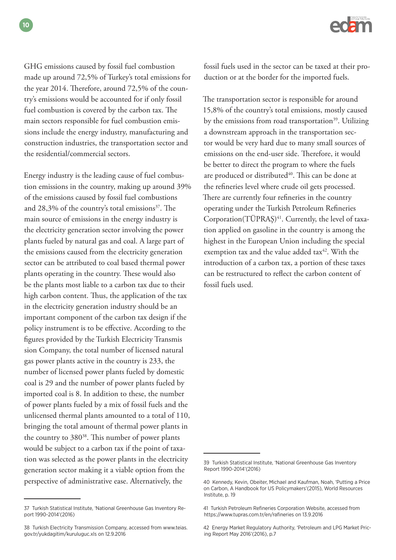GHG emissions caused by fossil fuel combustion made up around 72,5% of Turkey's total emissions for the year 2014. Therefore, around 72,5% of the country's emissions would be accounted for if only fossil fuel combustion is covered by the carbon tax. The main sectors responsible for fuel combustion emissions include the energy industry, manufacturing and construction industries, the transportation sector and the residential/commercial sectors.

Energy industry is the leading cause of fuel combustion emissions in the country, making up around 39% of the emissions caused by fossil fuel combustions and 28,3% of the country's total emissions $37$ . The main source of emissions in the energy industry is the electricity generation sector involving the power plants fueled by natural gas and coal. A large part of the emissions caused from the electricity generation sector can be attributed to coal based thermal power plants operating in the country. These would also be the plants most liable to a carbon tax due to their high carbon content. Thus, the application of the tax in the electricity generation industry should be an important component of the carbon tax design if the policy instrument is to be effective. According to the figures provided by the Turkish Electricity Transmis sion Company, the total number of licensed natural gas power plants active in the country is 233, the number of licensed power plants fueled by domestic coal is 29 and the number of power plants fueled by imported coal is 8. In addition to these, the number of power plants fueled by a mix of fossil fuels and the unlicensed thermal plants amounted to a total of 110, bringing the total amount of thermal power plants in the country to 380<sup>38</sup>. This number of power plants would be subject to a carbon tax if the point of taxation was selected as the power plants in the electricity generation sector making it a viable option from the perspective of administrative ease. Alternatively, the



fossil fuels used in the sector can be taxed at their production or at the border for the imported fuels.

The transportation sector is responsible for around 15,8% of the country's total emissions, mostly caused by the emissions from road transportation<sup>39</sup>. Utilizing a downstream approach in the transportation sector would be very hard due to many small sources of emissions on the end-user side. Therefore, it would be better to direct the program to where the fuels are produced or distributed<sup>40</sup>. This can be done at the refineries level where crude oil gets processed. There are currently four refineries in the country operating under the Turkish Petroleum Refineries Corporation(TÜPRAŞ)<sup>41</sup>. Currently, the level of taxation applied on gasoline in the country is among the highest in the European Union including the special exemption tax and the value added tax<sup>42</sup>. With the introduction of a carbon tax, a portion of these taxes can be restructured to reflect the carbon content of fossil fuels used.

<sup>37</sup> Turkish Statistical Institute, 'National Greenhouse Gas Inventory Report 1990-2014'(2016)

<sup>38</sup> Turkish Electricity Transmission Company, accessed from www.teias. gov.tr/yukdagitim/kuruluguc.xls on 12.9.2016

<sup>39</sup> Turkish Statistical Institute, 'National Greenhouse Gas Inventory Report 1990-2014'(2016)

<sup>40</sup> Kennedy, Kevin, Obeiter, Michael and Kaufman, Noah, 'Putting a Price on Carbon, A Handbook for US Policymakers'(2015), World Resources Institute, p. 19

<sup>41</sup> Turkish Petroleum Refineries Corporation Website, accessed from https://www.tupras.com.tr/en/rafineries on 13.9.2016

<sup>42</sup> Energy Market Regulatory Authority, 'Petroleum and LPG Market Pricing Report May 2016'(2016), p.7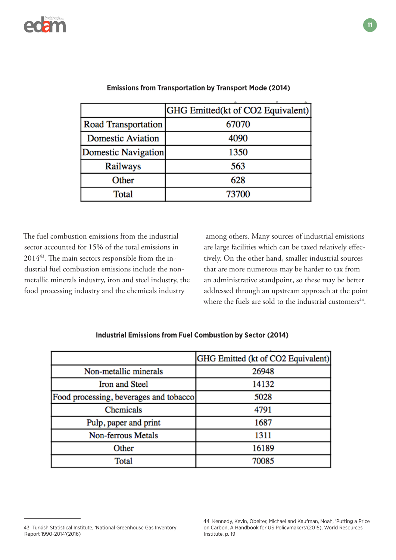

|                          | [GHG Emitted(kt of CO2 Equivalent)] |
|--------------------------|-------------------------------------|
| Road Transportation      | 67070                               |
| <b>Domestic Aviation</b> | 4090                                |
| Domestic Navigation      | 1350                                |
| Railways                 | 563                                 |
| Other                    | 628                                 |
| Total                    | 73700                               |

### **Emissions from Transportation by Transport Mode (2014)**

The fuel combustion emissions from the industrial sector accounted for 15% of the total emissions in 201443. The main sectors responsible from the industrial fuel combustion emissions include the nonmetallic minerals industry, iron and steel industry, the food processing industry and the chemicals industry

 among others. Many sources of industrial emissions are large facilities which can be taxed relatively effectively. On the other hand, smaller industrial sources that are more numerous may be harder to tax from an administrative standpoint, so these may be better addressed through an upstream approach at the point where the fuels are sold to the industrial customers<sup>44</sup>.

|                                          | [GHG Emitted (kt of CO2 Equivalent)] |
|------------------------------------------|--------------------------------------|
| Non-metallic minerals                    | 26948                                |
| Iron and Steel                           | 14132                                |
| [Food processing, beverages and tobacco] | 5028                                 |
| Chemicals                                | 4791                                 |
| Pulp, paper and print                    | 1687                                 |
| Non-ferrous Metals                       | 1311                                 |
| Other                                    | 16189                                |
| Total                                    | 70085                                |

### **Industrial Emissions from Fuel Combustion by Sector (2014)**

<sup>43</sup> Turkish Statistical Institute, 'National Greenhouse Gas Inventory Report 1990-2014'(2016)

<sup>44</sup> Kennedy, Kevin, Obeiter, Michael and Kaufman, Noah, 'Putting a Price on Carbon, A Handbook for US Policymakers'(2015), World Resources Institute, p. 19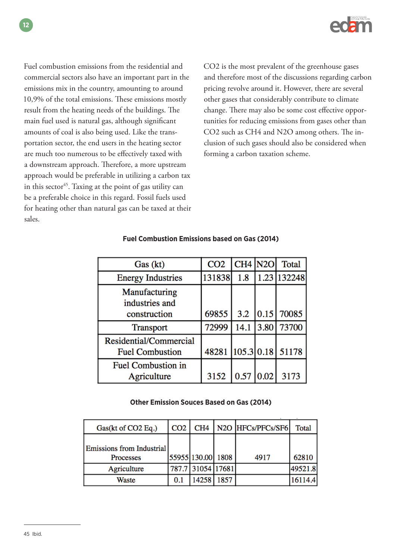

Fuel combustion emissions from the residential and commercial sectors also have an important part in the emissions mix in the country, amounting to around 10,9% of the total emissions. These emissions mostly result from the heating needs of the buildings. The main fuel used is natural gas, although significant amounts of coal is also being used. Like the transportation sector, the end users in the heating sector are much too numerous to be effectively taxed with a downstream approach. Therefore, a more upstream approach would be preferable in utilizing a carbon tax in this sector<sup>45</sup>. Taxing at the point of gas utility can be a preferable choice in this regard. Fossil fuels used for heating other than natural gas can be taxed at their sales.

CO2 is the most prevalent of the greenhouse gases and therefore most of the discussions regarding carbon pricing revolve around it. However, there are several other gases that considerably contribute to climate change. There may also be some cost effective opportunities for reducing emissions from gases other than CO2 such as CH4 and N2O among others. The inclusion of such gases should also be considered when forming a carbon taxation scheme.

| Gas (kt)                                         | CO <sub>2</sub> | <b>CH4 N2O</b> |      | Total                    |
|--------------------------------------------------|-----------------|----------------|------|--------------------------|
| <b>Energy Industries</b>                         | 131838          | 1.8            |      | 1.23 132248              |
| Manufacturing<br>industries and<br>construction  | 69855           | 3.2            |      | $\vert 0.15 \vert 70085$ |
| <b>Transport</b>                                 | 72999           | 14.1           | 3.80 | 73700                    |
| Residential/Commercial<br><b>Fuel Combustion</b> |                 |                |      | 48281 105.3 0.18 51178   |
| <b>Fuel Combustion in</b><br>Agriculture         | 3152            | 0.57           | 0.02 | 3173                     |

### **Fuel Combustion Emissions based on Gas (2014)**

### **Other Emission Souces Based on Gas (2014)**

| Gas(kt of CO2 Eq.)                            | CO <sub>2</sub> | CH <sub>4</sub>   | N <sub>20</sub> H <sub>FCs</sub> /P <sub>FCs</sub> /S <sub>F6</sub> | Total   |
|-----------------------------------------------|-----------------|-------------------|---------------------------------------------------------------------|---------|
| <b>Emissions from Industrial</b><br>Processes |                 | 55955 130.00 1808 | 4917                                                                | 62810   |
| Agriculture                                   |                 | 787.7 31054 17681 |                                                                     | 49521.8 |
| Waste                                         | 0.1             | 14258 1857        |                                                                     | 16114.4 |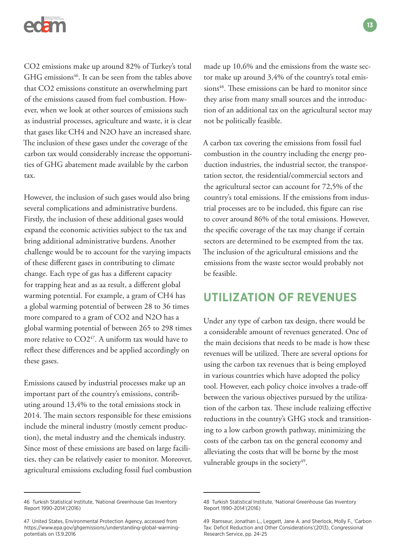

CO2 emissions make up around 82% of Turkey's total GHG emissions<sup>46</sup>. It can be seen from the tables above that CO2 emissions constitute an overwhelming part of the emissions caused from fuel combustion. However, when we look at other sources of emissions such as industrial processes, agriculture and waste, it is clear that gases like CH4 and N2O have an increased share. The inclusion of these gases under the coverage of the carbon tax would considerably increase the opportunities of GHG abatement made available by the carbon tax.

However, the inclusion of such gases would also bring several complications and administrative burdens. Firstly, the inclusion of these additional gases would expand the economic activities subject to the tax and bring additional administrative burdens. Another challenge would be to account for the varying impacts of these different gases in contributing to climate change. Each type of gas has a different capacity for trapping heat and as aa result, a different global warming potential. For example, a gram of CH4 has a global warming potential of between 28 to 36 times more compared to a gram of CO2 and N2O has a global warming potential of between 265 to 298 times more relative to  $CO2^{47}$ . A uniform tax would have to reflect these differences and be applied accordingly on these gases.

Emissions caused by industrial processes make up an important part of the country's emissions, contributing around 13,4% to the total emissions stock in 2014. The main sectors responsible for these emissions include the mineral industry (mostly cement production), the metal industry and the chemicals industry. Since most of these emissions are based on large facilities, they can be relatively easier to monitor. Moreover, agricultural emissions excluding fossil fuel combustion

46 Turkish Statistical Institute, 'National Greenhouse Gas Inventory Report 1990-2014'(2016)

made up 10,6% and the emissions from the waste sector make up around 3,4% of the country's total emissions<sup>48</sup>. These emissions can be hard to monitor since they arise from many small sources and the introduction of an additional tax on the agricultural sector may not be politically feasible.

A carbon tax covering the emissions from fossil fuel combustion in the country including the energy production industries, the industrial sector, the transportation sector, the residential/commercial sectors and the agricultural sector can account for 72,5% of the country's total emissions. If the emissions from industrial processes are to be included, this figure can rise to cover around 86% of the total emissions. However, the specific coverage of the tax may change if certain sectors are determined to be exempted from the tax. The inclusion of the agricultural emissions and the emissions from the waste sector would probably not be feasible.

### **UTILIZATION OF REVENUES**

Under any type of carbon tax design, there would be a considerable amount of revenues generated. One of the main decisions that needs to be made is how these revenues will be utilized. There are several options for using the carbon tax revenues that is being employed in various countries which have adopted the policy tool. However, each policy choice involves a trade-off between the various objectives pursued by the utilization of the carbon tax. These include realizing effective reductions in the country's GHG stock and transitioning to a low carbon growth pathway, minimizing the costs of the carbon tax on the general economy and alleviating the costs that will be borne by the most vulnerable groups in the society $49$ .

<sup>47</sup> United States, Environmental Protection Agency, accessed from https://www.epa.gov/ghgemissions/understanding-global-warmingpotentials on 13.9.2016

<sup>48</sup> Turkish Statistical Institute, 'National Greenhouse Gas Inventory Report 1990-2014'(2016)

<sup>49</sup> Ramseur, Jonathan L., Leggett, Jane A. and Sherlock, Molly F., 'Carbon Tax: Deficit Reduction and Other Considerations'(2013), Congressional Research Service, pp. 24-25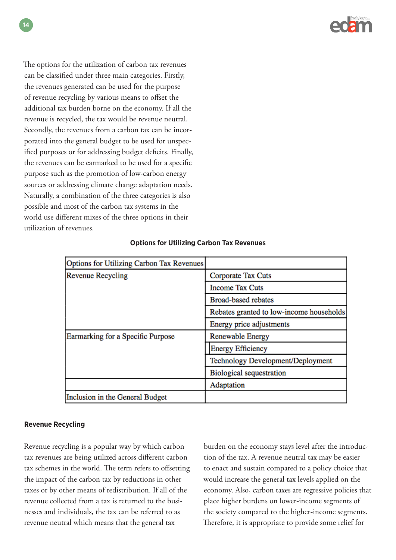

The options for the utilization of carbon tax revenues can be classified under three main categories. Firstly, the revenues generated can be used for the purpose of revenue recycling by various means to offset the additional tax burden borne on the economy. If all the revenue is recycled, the tax would be revenue neutral. Secondly, the revenues from a carbon tax can be incorporated into the general budget to be used for unspecified purposes or for addressing budget deficits. Finally, the revenues can be earmarked to be used for a specific purpose such as the promotion of low-carbon energy sources or addressing climate change adaptation needs. Naturally, a combination of the three categories is also possible and most of the carbon tax systems in the world use different mixes of the three options in their utilization of revenues.

| Options for Utilizing Carbon Tax Revenues |                                          |  |
|-------------------------------------------|------------------------------------------|--|
| <b>Revenue Recycling</b>                  | Corporate Tax Cuts                       |  |
|                                           | <b>Income Tax Cuts</b>                   |  |
|                                           | <b>Broad-based rebates</b>               |  |
|                                           | Rebates granted to low-income households |  |
|                                           | Energy price adjustments                 |  |
| Earmarking for a Specific Purpose         | <b>Renewable Energy</b>                  |  |
|                                           | <b>Energy Efficiency</b>                 |  |
|                                           | Technology Development/Deployment        |  |
|                                           | <b>Biological sequestration</b>          |  |
|                                           | Adaptation                               |  |
| Inclusion in the General Budget           |                                          |  |

### **Options for Utilizing Carbon Tax Revenues**

### **Revenue Recycling**

Revenue recycling is a popular way by which carbon tax revenues are being utilized across different carbon tax schemes in the world. The term refers to offsetting the impact of the carbon tax by reductions in other taxes or by other means of redistribution. If all of the revenue collected from a tax is returned to the businesses and individuals, the tax can be referred to as revenue neutral which means that the general tax

burden on the economy stays level after the introduction of the tax. A revenue neutral tax may be easier to enact and sustain compared to a policy choice that would increase the general tax levels applied on the economy. Also, carbon taxes are regressive policies that place higher burdens on lower-income segments of the society compared to the higher-income segments. Therefore, it is appropriate to provide some relief for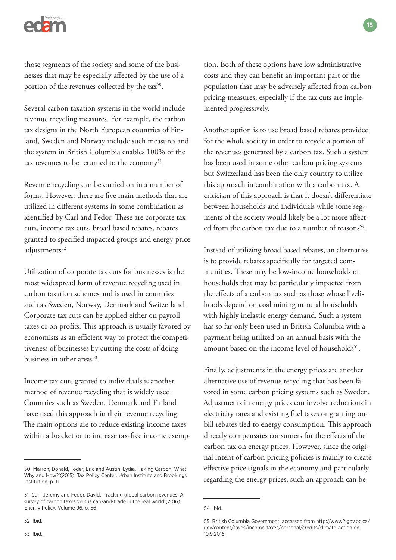

those segments of the society and some of the businesses that may be especially affected by the use of a portion of the revenues collected by the tax<sup>50</sup>.

Several carbon taxation systems in the world include revenue recycling measures. For example, the carbon tax designs in the North European countries of Finland, Sweden and Norway include such measures and the system in British Columbia enables 100% of the tax revenues to be returned to the economy<sup>51</sup>.

Revenue recycling can be carried on in a number of forms. However, there are five main methods that are utilized in different systems in some combination as identified by Carl and Fedor. These are corporate tax cuts, income tax cuts, broad based rebates, rebates granted to specified impacted groups and energy price adjustments<sup>52</sup>.

Utilization of corporate tax cuts for businesses is the most widespread form of revenue recycling used in carbon taxation schemes and is used in countries such as Sweden, Norway, Denmark and Switzerland. Corporate tax cuts can be applied either on payroll taxes or on profits. This approach is usually favored by economists as an efficient way to protect the competitiveness of businesses by cutting the costs of doing business in other areas<sup>53</sup>.

Income tax cuts granted to individuals is another method of revenue recycling that is widely used. Countries such as Sweden, Denmark and Finland have used this approach in their revenue recycling. The main options are to reduce existing income taxes within a bracket or to increase tax-free income exemp-

tion. Both of these options have low administrative costs and they can benefit an important part of the population that may be adversely affected from carbon pricing measures, especially if the tax cuts are implemented progressively.

Another option is to use broad based rebates provided for the whole society in order to recycle a portion of the revenues generated by a carbon tax. Such a system has been used in some other carbon pricing systems but Switzerland has been the only country to utilize this approach in combination with a carbon tax. A criticism of this approach is that it doesn't differentiate between households and individuals while some segments of the society would likely be a lot more affected from the carbon tax due to a number of reasons<sup>54</sup>.

Instead of utilizing broad based rebates, an alternative is to provide rebates specifically for targeted communities. These may be low-income households or households that may be particularly impacted from the effects of a carbon tax such as those whose livelihoods depend on coal mining or rural households with highly inelastic energy demand. Such a system has so far only been used in British Columbia with a payment being utilized on an annual basis with the amount based on the income level of households<sup>55</sup>.

Finally, adjustments in the energy prices are another alternative use of revenue recycling that has been favored in some carbon pricing systems such as Sweden. Adjustments in energy prices can involve reductions in electricity rates and existing fuel taxes or granting onbill rebates tied to energy consumption. This approach directly compensates consumers for the effects of the carbon tax on energy prices. However, since the original intent of carbon pricing policies is mainly to create effective price signals in the economy and particularly regarding the energy prices, such an approach can be

<sup>50</sup> Marron, Donald, Toder, Eric and Austin, Lydia, 'Taxing Carbon: What, Why and How?'(2015), Tax Policy Center, Urban Institute and Brookings Institution, p. 11

<sup>51</sup> Carl, Jeremy and Fedor, David, 'Tracking global carbon revenues: A survey of carbon taxes versus cap-and-trade in the real world'(2016), Energy Policy, Volume 96, p. 56

<sup>52</sup> Ibid.

<sup>54</sup> Ibid.

<sup>55</sup> British Columbia Government, accessed from http://www2.gov.bc.ca/ gov/content/taxes/income-taxes/personal/credits/climate-action on 10.9.2016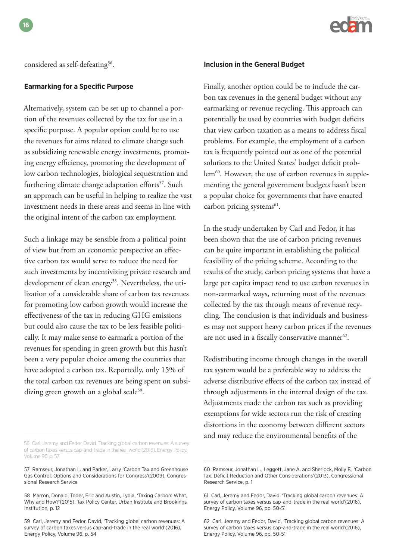considered as self-defeating<sup>56</sup>.

### **Earmarking for a Specific Purpose**

Alternatively, system can be set up to channel a portion of the revenues collected by the tax for use in a specific purpose. A popular option could be to use the revenues for aims related to climate change such as subsidizing renewable energy investments, promoting energy efficiency, promoting the development of low carbon technologies, biological sequestration and furthering climate change adaptation efforts<sup>57</sup>. Such an approach can be useful in helping to realize the vast investment needs in these areas and seems in line with the original intent of the carbon tax employment.

Such a linkage may be sensible from a political point of view but from an economic perspective an effective carbon tax would serve to reduce the need for such investments by incentivizing private research and development of clean energy<sup>58</sup>. Nevertheless, the utilization of a considerable share of carbon tax revenues for promoting low carbon growth would increase the effectiveness of the tax in reducing GHG emissions but could also cause the tax to be less feasible politically. It may make sense to earmark a portion of the revenues for spending in green growth but this hasn't been a very popular choice among the countries that have adopted a carbon tax. Reportedly, only 15% of the total carbon tax revenues are being spent on subsidizing green growth on a global scale<sup>59</sup>.



#### **Inclusion in the General Budget**

Finally, another option could be to include the carbon tax revenues in the general budget without any earmarking or revenue recycling. This approach can potentially be used by countries with budget deficits that view carbon taxation as a means to address fiscal problems. For example, the employment of a carbon tax is frequently pointed out as one of the potential solutions to the United States' budget deficit problem<sup>60</sup>. However, the use of carbon revenues in supplementing the general government budgets hasn't been a popular choice for governments that have enacted carbon pricing systems<sup>61</sup>.

In the study undertaken by Carl and Fedor, it has been shown that the use of carbon pricing revenues can be quite important in establishing the political feasibility of the pricing scheme. According to the results of the study, carbon pricing systems that have a large per capita impact tend to use carbon revenues in non-earmarked ways, returning most of the revenues collected by the tax through means of revenue recycling. The conclusion is that individuals and businesses may not support heavy carbon prices if the revenues are not used in a fiscally conservative manner<sup>62</sup>.

Redistributing income through changes in the overall tax system would be a preferable way to address the adverse distributive effects of the carbon tax instead of through adjustments in the internal design of the tax. Adjustments made the carbon tax such as providing exemptions for wide sectors run the risk of creating distortions in the economy between different sectors and may reduce the environmental benefits of the

<sup>56</sup> Carl, Jeremy and Fedor, David, 'Tracking global carbon revenues: A survey of carbon taxes versus cap-and-trade in the real world'(2016), Energy Policy, Volume 96, p. 57

<sup>57</sup> Ramseur, Jonathan L. and Parker, Larry 'Carbon Tax and Greenhouse Gas Control: Options and Considerations for Congress'(2009), Congressional Research Service

<sup>58</sup> Marron, Donald, Toder, Eric and Austin, Lydia, 'Taxing Carbon: What, Why and How?'(2015), Tax Policy Center, Urban Institute and Brookings Institution, p. 12

<sup>59</sup> Carl, Jeremy and Fedor, David, 'Tracking global carbon revenues: A survey of carbon taxes versus cap-and-trade in the real world'(2016), Energy Policy, Volume 96, p. 54

<sup>60</sup> Ramseur, Jonathan L., Leggett, Jane A. and Sherlock, Molly F., 'Carbon Tax: Deficit Reduction and Other Considerations'(2013), Congressional Research Service, p. 1

<sup>61</sup> Carl, Jeremy and Fedor, David, 'Tracking global carbon revenues: A survey of carbon taxes versus cap-and-trade in the real world'(2016), Energy Policy, Volume 96, pp. 50-51

<sup>62</sup> Carl, Jeremy and Fedor, David, 'Tracking global carbon revenues: A survey of carbon taxes versus cap-and-trade in the real world'(2016), Energy Policy, Volume 96, pp. 50-51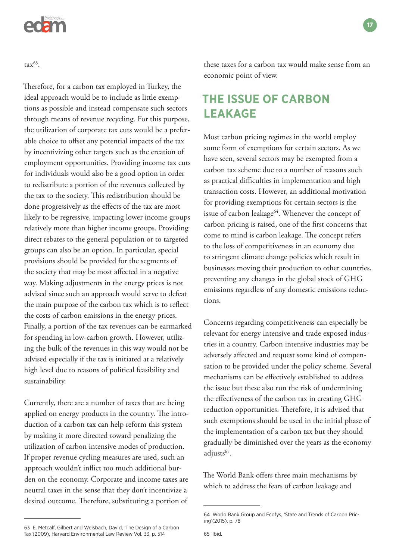

 $\text{tax}^{63}$ .

Therefore, for a carbon tax employed in Turkey, the ideal approach would be to include as little exemptions as possible and instead compensate such sectors through means of revenue recycling. For this purpose, the utilization of corporate tax cuts would be a preferable choice to offset any potential impacts of the tax by incentivizing other targets such as the creation of employment opportunities. Providing income tax cuts for individuals would also be a good option in order to redistribute a portion of the revenues collected by the tax to the society. This redistribution should be done progressively as the effects of the tax are most likely to be regressive, impacting lower income groups relatively more than higher income groups. Providing direct rebates to the general population or to targeted groups can also be an option. In particular, special provisions should be provided for the segments of the society that may be most affected in a negative way. Making adjustments in the energy prices is not advised since such an approach would serve to defeat the main purpose of the carbon tax which is to reflect the costs of carbon emissions in the energy prices. Finally, a portion of the tax revenues can be earmarked for spending in low-carbon growth. However, utilizing the bulk of the revenues in this way would not be advised especially if the tax is initiated at a relatively high level due to reasons of political feasibility and sustainability.

Currently, there are a number of taxes that are being applied on energy products in the country. The introduction of a carbon tax can help reform this system by making it more directed toward penalizing the utilization of carbon intensive modes of production. If proper revenue cycling measures are used, such an approach wouldn't inflict too much additional burden on the economy. Corporate and income taxes are neutral taxes in the sense that they don't incentivize a desired outcome. Therefore, substituting a portion of these taxes for a carbon tax would make sense from an economic point of view.

# **THE ISSUE OF CARBON LEAKAGE**

Most carbon pricing regimes in the world employ some form of exemptions for certain sectors. As we have seen, several sectors may be exempted from a carbon tax scheme due to a number of reasons such as practical difficulties in implementation and high transaction costs. However, an additional motivation for providing exemptions for certain sectors is the issue of carbon leakage<sup>64</sup>. Whenever the concept of carbon pricing is raised, one of the first concerns that come to mind is carbon leakage. The concept refers to the loss of competitiveness in an economy due to stringent climate change policies which result in businesses moving their production to other countries, preventing any changes in the global stock of GHG emissions regardless of any domestic emissions reductions.

Concerns regarding competitiveness can especially be relevant for energy intensive and trade exposed industries in a country. Carbon intensive industries may be adversely affected and request some kind of compensation to be provided under the policy scheme. Several mechanisms can be effectively established to address the issue but these also run the risk of undermining the effectiveness of the carbon tax in creating GHG reduction opportunities. Therefore, it is advised that such exemptions should be used in the initial phase of the implementation of a carbon tax but they should gradually be diminished over the years as the economy adjusts<sup>65</sup>.

The World Bank offers three main mechanisms by which to address the fears of carbon leakage and

<sup>64</sup> World Bank Group and Ecofys, 'State and Trends of Carbon Pricing'(2015), p. 78

<sup>63</sup> E. Metcalf, Gilbert and Weisbach, David, 'The Design of a Carbon Tax'(2009), Harvard Environmental Law Review Vol. 33, p. 514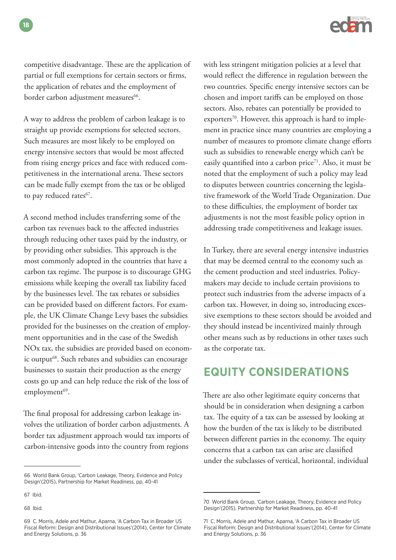

competitive disadvantage. These are the application of partial or full exemptions for certain sectors or firms, the application of rebates and the employment of border carbon adjustment measures<sup>66</sup>.

A way to address the problem of carbon leakage is to straight up provide exemptions for selected sectors. Such measures are most likely to be employed on energy intensive sectors that would be most affected from rising energy prices and face with reduced competitiveness in the international arena. These sectors can be made fully exempt from the tax or be obliged to pay reduced rates<sup>67</sup>.

A second method includes transferring some of the carbon tax revenues back to the affected industries through reducing other taxes paid by the industry, or by providing other subsidies. This approach is the most commonly adopted in the countries that have a carbon tax regime. The purpose is to discourage GHG emissions while keeping the overall tax liability faced by the businesses level. The tax rebates or subsidies can be provided based on different factors. For example, the UK Climate Change Levy bases the subsidies provided for the businesses on the creation of employment opportunities and in the case of the Swedish NOx tax, the subsidies are provided based on economic output<sup>68</sup>. Such rebates and subsidies can encourage businesses to sustain their production as the energy costs go up and can help reduce the risk of the loss of employment<sup>69</sup>.

The final proposal for addressing carbon leakage involves the utilization of border carbon adjustments. A border tax adjustment approach would tax imports of carbon-intensive goods into the country from regions

68 Ibid.

with less stringent mitigation policies at a level that would reflect the difference in regulation between the two countries. Specific energy intensive sectors can be chosen and import tariffs can be employed on those sectors. Also, rebates can potentially be provided to exporters<sup>70</sup>. However, this approach is hard to implement in practice since many countries are employing a number of measures to promote climate change efforts such as subsidies to renewable energy which can't be easily quantified into a carbon price<sup>71</sup>. Also, it must be noted that the employment of such a policy may lead to disputes between countries concerning the legislative framework of the World Trade Organization. Due to these difficulties, the employment of border tax adjustments is not the most feasible policy option in addressing trade competitiveness and leakage issues.

In Turkey, there are several energy intensive industries that may be deemed central to the economy such as the cement production and steel industries. Policymakers may decide to include certain provisions to protect such industries from the adverse impacts of a carbon tax. However, in doing so, introducing excessive exemptions to these sectors should be avoided and they should instead be incentivized mainly through other means such as by reductions in other taxes such as the corporate tax.

# **EQUITY CONSIDERATIONS**

There are also other legitimate equity concerns that should be in consideration when designing a carbon tax. The equity of a tax can be assessed by looking at how the burden of the tax is likely to be distributed between different parties in the economy. The equity concerns that a carbon tax can arise are classified under the subclasses of vertical, horizontal, individual

<sup>66</sup> World Bank Group, 'Carbon Leakage, Theory, Evidence and Policy Design'(2015), Partnership for Market Readiness, pp. 40-41

<sup>67</sup> Ibid.

<sup>69</sup> C. Morris, Adele and Mathur, Aparna, 'A Carbon Tax in Broader US Fiscal Reform: Design and Distributional Issues'(2014), Center for Climate and Energy Solutions, p. 36

<sup>70</sup> World Bank Group, 'Carbon Leakage, Theory, Evidence and Policy Design'(2015), Partnership for Market Readiness, pp. 40-41

<sup>71</sup> C. Morris, Adele and Mathur, Aparna, 'A Carbon Tax in Broader US Fiscal Reform: Design and Distributional Issues'(2014), Center for Climate and Energy Solutions, p. 36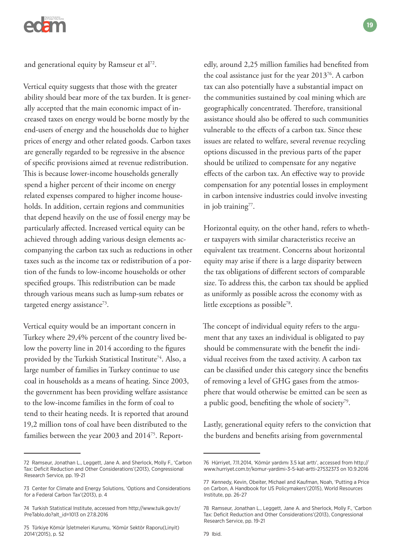

and generational equity by Ramseur et al72.

Vertical equity suggests that those with the greater ability should bear more of the tax burden. It is generally accepted that the main economic impact of increased taxes on energy would be borne mostly by the end-users of energy and the households due to higher prices of energy and other related goods. Carbon taxes are generally regarded to be regressive in the absence of specific provisions aimed at revenue redistribution. This is because lower-income households generally spend a higher percent of their income on energy related expenses compared to higher income households. In addition, certain regions and communities that depend heavily on the use of fossil energy may be particularly affected. Increased vertical equity can be achieved through adding various design elements accompanying the carbon tax such as reductions in other taxes such as the income tax or redistribution of a portion of the funds to low-income households or other specified groups. This redistribution can be made through various means such as lump-sum rebates or targeted energy assistance<sup>73</sup>.

Vertical equity would be an important concern in Turkey where 29,4% percent of the country lived below the poverty line in 2014 according to the figures provided by the Turkish Statistical Institute<sup>74</sup>. Also, a large number of families in Turkey continue to use coal in households as a means of heating. Since 2003, the government has been providing welfare assistance to the low-income families in the form of coal to tend to their heating needs. It is reported that around 19,2 million tons of coal have been distributed to the families between the year 2003 and 201475. Report-

edly, around 2,25 million families had benefited from the coal assistance just for the year  $2013^{76}$ . A carbon tax can also potentially have a substantial impact on the communities sustained by coal mining which are geographically concentrated. Therefore, transitional assistance should also be offered to such communities vulnerable to the effects of a carbon tax. Since these issues are related to welfare, several revenue recycling options discussed in the previous parts of the paper should be utilized to compensate for any negative effects of the carbon tax. An effective way to provide compensation for any potential losses in employment in carbon intensive industries could involve investing in job training $77$ .

**19**

Horizontal equity, on the other hand, refers to whether taxpayers with similar characteristics receive an equivalent tax treatment. Concerns about horizontal equity may arise if there is a large disparity between the tax obligations of different sectors of comparable size. To address this, the carbon tax should be applied as uniformly as possible across the economy with as little exceptions as possible<sup>78</sup>.

The concept of individual equity refers to the argument that any taxes an individual is obligated to pay should be commensurate with the benefit the individual receives from the taxed activity. A carbon tax can be classified under this category since the benefits of removing a level of GHG gases from the atmosphere that would otherwise be emitted can be seen as a public good, benefiting the whole of society<sup>79</sup>.

Lastly, generational equity refers to the conviction that the burdens and benefits arising from governmental

<sup>72</sup> Ramseur, Jonathan L., Leggett, Jane A. and Sherlock, Molly F., 'Carbon Tax: Deficit Reduction and Other Considerations'(2013), Congressional Research Service, pp. 19-21

<sup>73</sup> Center for Climate and Energy Solutions, 'Options and Considerations for a Federal Carbon Tax'(2013), p. 4

<sup>74</sup> Turkish Statistical Institute, accessed from http://www.tuik.gov.tr/ PreTablo.do?alt\_id=1013 on 27.8.2016

<sup>75</sup> Türkiye Kömür İşletmeleri Kurumu, 'Kömür Sektör Raporu(Linyit) 2014'(2015), p. 52

<sup>76</sup> Hürriyet, 7.11.2014, 'Kömür yardımı 3.5 kat arttı', accessed from http:// www.hurriyet.com.tr/komur-yardimi-3-5-kat-artti-27532373 on 10.9.2016

<sup>77</sup> Kennedy, Kevin, Obeiter, Michael and Kaufman, Noah, 'Putting a Price on Carbon, A Handbook for US Policymakers'(2015), World Resources Institute, pp. 26-27

<sup>78</sup> Ramseur, Jonathan L., Leggett, Jane A. and Sherlock, Molly F., 'Carbon Tax: Deficit Reduction and Other Considerations'(2013), Congressional Research Service, pp. 19-21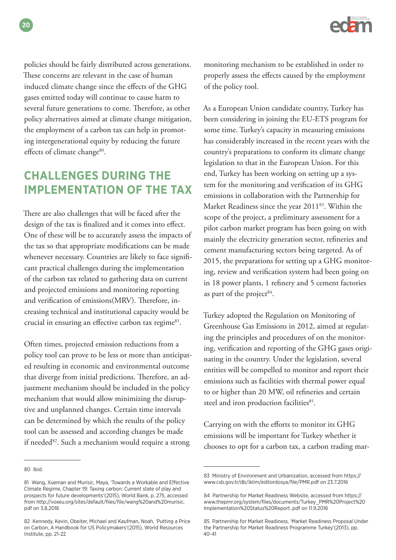policies should be fairly distributed across generations. These concerns are relevant in the case of human induced climate change since the effects of the GHG gases emitted today will continue to cause harm to several future generations to come. Therefore, as other policy alternatives aimed at climate change mitigation, the employment of a carbon tax can help in promoting intergenerational equity by reducing the future effects of climate change<sup>80</sup>.

# **CHALLENGES DURING THE IMPLEMENTATION OF THE TAX**

There are also challenges that will be faced after the design of the tax is finalized and it comes into effect. One of these will be to accurately assess the impacts of the tax so that appropriate modifications can be made whenever necessary. Countries are likely to face significant practical challenges during the implementation of the carbon tax related to gathering data on current and projected emissions and monitoring reporting and verification of emissions(MRV). Therefore, increasing technical and institutional capacity would be crucial in ensuring an effective carbon tax regime<sup>81</sup>.

Often times, projected emission reductions from a policy tool can prove to be less or more than anticipated resulting in economic and environmental outcome that diverge from initial predictions. Therefore, an adjustment mechanism should be included in the policy mechanism that would allow minimizing the disruptive and unplanned changes. Certain time intervals can be determined by which the results of the policy tool can be assessed and according changes be made if needed<sup>82</sup>. Such a mechanism would require a strong

**20**

monitoring mechanism to be established in order to properly assess the effects caused by the employment of the policy tool.

As a European Union candidate country, Turkey has been considering in joining the EU-ETS program for some time. Turkey's capacity in measuring emissions has considerably increased in the recent years with the country's preparations to conform its climate change legislation to that in the European Union. For this end, Turkey has been working on setting up a system for the monitoring and verification of its GHG emissions in collaboration with the Partnership for Market Readiness since the year 201183. Within the scope of the project, a preliminary assessment for a pilot carbon market program has been going on with mainly the electricity generation sector, refineries and cement manufacturing sectors being targeted. As of 2015, the preparations for setting up a GHG monitoring, review and verification system had been going on in 18 power plants, 1 refinery and 5 cement factories as part of the project $84$ .

Turkey adopted the Regulation on Monitoring of Greenhouse Gas Emissions in 2012, aimed at regulating the principles and procedures of on the monitoring, verification and reporting of the GHG gases originating in the country. Under the legislation, several entities will be compelled to monitor and report their emissions such as facilities with thermal power equal to or higher than 20 MW, oil refineries and certain steel and iron production facilities<sup>85</sup>.

Carrying on with the efforts to monitor its GHG emissions will be important for Turkey whether it chooses to opt for a carbon tax, a carbon trading mar-

<sup>80</sup> Ibid.

<sup>81</sup> Wang, Xueman and Murisic, Maya, 'Towards a Workable and Effective Climate Regime, Chapter 19: Taxing carbon: Current state of play and prospects for future developments'(2015), World Bank, p. 275, accessed from http://voxeu.org/sites/default/files/file/wang%20and%20murisic. pdf on 3.8.2016

<sup>82</sup> Kennedy, Kevin, Obeiter, Michael and Kaufman, Noah, 'Putting a Price on Carbon, A Handbook for US Policymakers'(2015), World Resources Institute, pp. 21-22

<sup>83</sup> Ministry of Environment and Urbanization, accessed from https:// www.csb.gov.tr/db/iklim/editordosya/file/PMR.pdf on 23.7.2016

<sup>84</sup> Partnership for Market Readiness Website, accessed from https:// www.thepmr.org/system/files/documents/Turkey\_PMR%20Project%20 Implementation%20Status%20Report..pdf on 11.9.2016

<sup>85</sup> Partnership for Market Readiness, 'Market Readiness Proposal Under the Partnership for Market Readiness Programme Turkey'(2013), pp. 40-41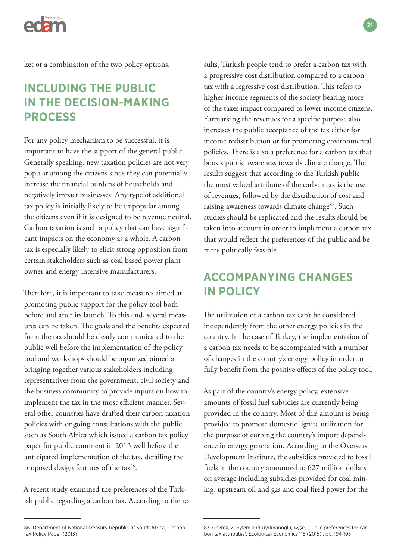

ket or a combination of the two policy options.

# **INCLUDING THE PUBLIC IN THE DECISION-MAKING PROCESS**

For any policy mechanism to be successful, it is important to have the support of the general public. Generally speaking, new taxation policies are not very popular among the citizens since they can potentially increase the financial burdens of households and negatively impact businesses. Any type of additional tax policy is initially likely to be unpopular among the citizens even if it is designed to be revenue neutral. Carbon taxation is such a policy that can have significant impacts on the economy as a whole. A carbon tax is especially likely to elicit strong opposition from certain stakeholders such as coal based power plant owner and energy intensive manufacturers.

Therefore, it is important to take measures aimed at promoting public support for the policy tool both before and after its launch. To this end, several measures can be taken. The goals and the benefits expected from the tax should be clearly communicated to the public well before the implementation of the policy tool and workshops should be organized aimed at bringing together various stakeholders including representatives from the government, civil society and the business community to provide inputs on how to implement the tax in the most efficient manner. Several other countries have drafted their carbon taxation policies with ongoing consultations with the public such as South Africa which issued a carbon tax policy paper for public comment in 2013 well before the anticipated implementation of the tax, detailing the proposed design features of the tax<sup>86</sup>.

A recent study examined the preferences of the Turkish public regarding a carbon tax. According to the re-

a progressive cost distribution compared to a carbon tax with a regressive cost distribution. This refers to higher income segments of the society bearing more of the taxes impact compared to lower income citizens. Earmarking the revenues for a specific purpose also increases the public acceptance of the tax either for income redistribution or for promoting environmental policies. There is also a preference for a carbon tax that boosts public awareness towards climate change. The results suggest that according to the Turkish public the most valued attribute of the carbon tax is the use of revenues, followed by the distribution of cost and raising awareness towards climate change<sup>87</sup>. Such studies should be replicated and the results should be taken into account in order to implement a carbon tax that would reflect the preferences of the public and be more politically feasible.

sults, Turkish people tend to prefer a carbon tax with

# **ACCOMPANYING CHANGES IN POLICY**

The utilization of a carbon tax can't be considered independently from the other energy policies in the country. In the case of Turkey, the implementation of a carbon tax needs to be accompanied with a number of changes in the country's energy policy in order to fully benefit from the positive effects of the policy tool.

As part of the country's energy policy, extensive amounts of fossil fuel subsidies are currently being provided in the country. Most of this amount is being provided to promote domestic lignite utilization for the purpose of curbing the country's import dependence in energy generation. According to the Overseas Development Institute, the subsidies provided to fossil fuels in the country amounted to 627 million dollars on average including subsidies provided for coal mining, upstream oil and gas and coal fired power for the

<sup>86</sup> Department of National Treasury Republic of South Africa, 'Carbon Tax Policy Paper'(2013)

<sup>87</sup> Gevrek, Z. Eylem and Uyduranoğlu, Ayşe, 'Public preferences for carbon tax attributes', Ecological Economics 118 (2015) , pp. 194-195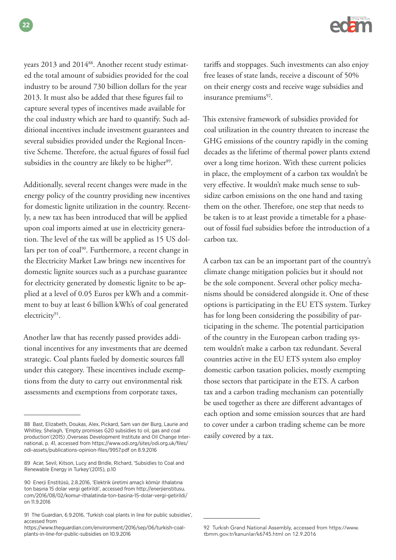years 2013 and 2014<sup>88</sup>. Another recent study estimated the total amount of subsidies provided for the coal industry to be around 730 billion dollars for the year 2013. It must also be added that these figures fail to capture several types of incentives made available for the coal industry which are hard to quantify. Such additional incentives include investment guarantees and several subsidies provided under the Regional Incentive Scheme. Therefore, the actual figures of fossil fuel subsidies in the country are likely to be higher<sup>89</sup>.

Additionally, several recent changes were made in the energy policy of the country providing new incentives for domestic lignite utilization in the country. Recently, a new tax has been introduced that will be applied upon coal imports aimed at use in electricity generation. The level of the tax will be applied as 15 US dollars per ton of coal<sup>90</sup>. Furthermore, a recent change in the Electricity Market Law brings new incentives for domestic lignite sources such as a purchase guarantee for electricity generated by domestic lignite to be applied at a level of 0.05 Euros per kWh and a commitment to buy at least 6 billion kWh's of coal generated electricity<sup>91</sup>.

Another law that has recently passed provides additional incentives for any investments that are deemed strategic. Coal plants fueled by domestic sources fall under this category. These incentives include exemptions from the duty to carry out environmental risk assessments and exemptions from corporate taxes,

tariffs and stoppages. Such investments can also enjoy free leases of state lands, receive a discount of 50% on their energy costs and receive wage subsidies and insurance premiums $92$ .

This extensive framework of subsidies provided for coal utilization in the country threaten to increase the GHG emissions of the country rapidly in the coming decades as the lifetime of thermal power plants extend over a long time horizon. With these current policies in place, the employment of a carbon tax wouldn't be very effective. It wouldn't make much sense to subsidize carbon emissions on the one hand and taxing them on the other. Therefore, one step that needs to be taken is to at least provide a timetable for a phaseout of fossil fuel subsidies before the introduction of a carbon tax.

A carbon tax can be an important part of the country's climate change mitigation policies but it should not be the sole component. Several other policy mechanisms should be considered alongside it. One of these options is participating in the EU ETS system. Turkey has for long been considering the possibility of participating in the scheme. The potential participation of the country in the European carbon trading system wouldn't make a carbon tax redundant. Several countries active in the EU ETS system also employ domestic carbon taxation policies, mostly exempting those sectors that participate in the ETS. A carbon tax and a carbon trading mechanism can potentially be used together as there are different advantages of each option and some emission sources that are hard to cover under a carbon trading scheme can be more easily covered by a tax.

<sup>88</sup> Bast, Elizabeth, Doukas, Alex, Pickard, Sam van der Burg, Laurie and Whitley, Shelagh, 'Empty promises G20 subsidies to oil, gas and coal production'(2015) ,Overseas Development Institute and Oil Change International, p. 41, accessed from https://www.odi.org/sites/odi.org.uk/files/ odi-assets/publications-opinion-files/9957.pdf on 8.9.2016

<sup>89</sup> Acar, Sevil, Kitson, Lucy and Bridle, Richard, 'Subsidies to Coal and Renewable Energy in Turkey'(2015), p.10

<sup>90</sup> Enerji Enstitüsü, 2.8.2016, 'Elektrik üretimi amaçlı kömür ithalatına ton başına 15 dolar vergi getirildi', accessed from http://enerjienstitusu. com/2016/08/02/komur-ithalatinda-ton-basina-15-dolar-vergi-getirildi/ on 11.9.2016

<sup>91</sup> The Guardian, 6.9.2016, 'Turkish coal plants in line for public subsidies', accessed from

https://www.theguardian.com/environment/2016/sep/06/turkish-coalplants-in-line-for-public-subsidies on 10.9.2016

<sup>92</sup> Turkish Grand National Assembly, accessed from https://www. tbmm.gov.tr/kanunlar/k6745.html on 12.9.2016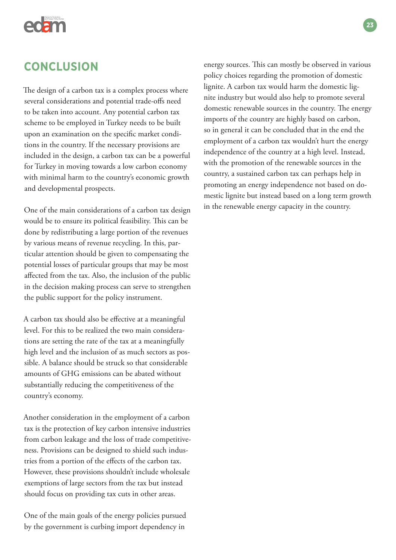

# **CONCLUSION**

The design of a carbon tax is a complex process where several considerations and potential trade-offs need to be taken into account. Any potential carbon tax scheme to be employed in Turkey needs to be built upon an examination on the specific market conditions in the country. If the necessary provisions are included in the design, a carbon tax can be a powerful for Turkey in moving towards a low carbon economy with minimal harm to the country's economic growth and developmental prospects.

One of the main considerations of a carbon tax design would be to ensure its political feasibility. This can be done by redistributing a large portion of the revenues by various means of revenue recycling. In this, particular attention should be given to compensating the potential losses of particular groups that may be most affected from the tax. Also, the inclusion of the public in the decision making process can serve to strengthen the public support for the policy instrument.

A carbon tax should also be effective at a meaningful level. For this to be realized the two main considerations are setting the rate of the tax at a meaningfully high level and the inclusion of as much sectors as possible. A balance should be struck so that considerable amounts of GHG emissions can be abated without substantially reducing the competitiveness of the country's economy.

Another consideration in the employment of a carbon tax is the protection of key carbon intensive industries from carbon leakage and the loss of trade competitiveness. Provisions can be designed to shield such industries from a portion of the effects of the carbon tax. However, these provisions shouldn't include wholesale exemptions of large sectors from the tax but instead should focus on providing tax cuts in other areas.

One of the main goals of the energy policies pursued by the government is curbing import dependency in

energy sources. This can mostly be observed in various policy choices regarding the promotion of domestic lignite. A carbon tax would harm the domestic lignite industry but would also help to promote several domestic renewable sources in the country. The energy imports of the country are highly based on carbon, so in general it can be concluded that in the end the employment of a carbon tax wouldn't hurt the energy independence of the country at a high level. Instead, with the promotion of the renewable sources in the country, a sustained carbon tax can perhaps help in promoting an energy independence not based on domestic lignite but instead based on a long term growth in the renewable energy capacity in the country.